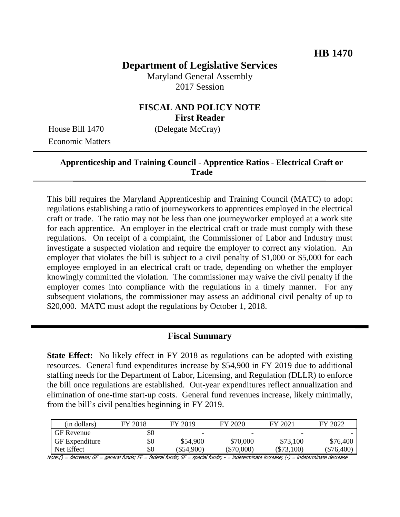# **Department of Legislative Services**

Maryland General Assembly 2017 Session

## **FISCAL AND POLICY NOTE First Reader**

Economic Matters

House Bill 1470 (Delegate McCray)

### **Apprenticeship and Training Council - Apprentice Ratios - Electrical Craft or Trade**

This bill requires the Maryland Apprenticeship and Training Council (MATC) to adopt regulations establishing a ratio of journeyworkers to apprentices employed in the electrical craft or trade. The ratio may not be less than one journeyworker employed at a work site for each apprentice. An employer in the electrical craft or trade must comply with these regulations. On receipt of a complaint, the Commissioner of Labor and Industry must investigate a suspected violation and require the employer to correct any violation. An employer that violates the bill is subject to a civil penalty of \$1,000 or \$5,000 for each employee employed in an electrical craft or trade, depending on whether the employer knowingly committed the violation. The commissioner may waive the civil penalty if the employer comes into compliance with the regulations in a timely manner. For any subsequent violations, the commissioner may assess an additional civil penalty of up to \$20,000. MATC must adopt the regulations by October 1, 2018.

#### **Fiscal Summary**

**State Effect:** No likely effect in FY 2018 as regulations can be adopted with existing resources. General fund expenditures increase by \$54,900 in FY 2019 due to additional staffing needs for the Department of Labor, Licensing, and Regulation (DLLR) to enforce the bill once regulations are established. Out-year expenditures reflect annualization and elimination of one-time start-up costs. General fund revenues increase, likely minimally, from the bill's civil penalties beginning in FY 2019.

| (in dollars)          | FY 2018 | FY 2019                  | FY 2020                  | FY 2021      | FY 2022      |
|-----------------------|---------|--------------------------|--------------------------|--------------|--------------|
| <b>GF</b> Revenue     | \$0     | $\overline{\phantom{0}}$ | $\overline{\phantom{0}}$ | -            |              |
| <b>GF</b> Expenditure | \$0     | \$54,900                 | \$70,000                 | \$73,100     | \$76,400     |
| Net Effect            | \$0     | (\$54,900)               | $(\$70,000)$             | $(\$73,100)$ | $(\$76,400)$ |

Note:() = decrease; GF = general funds; FF = federal funds; SF = special funds; - = indeterminate increase; (-) = indeterminate decrease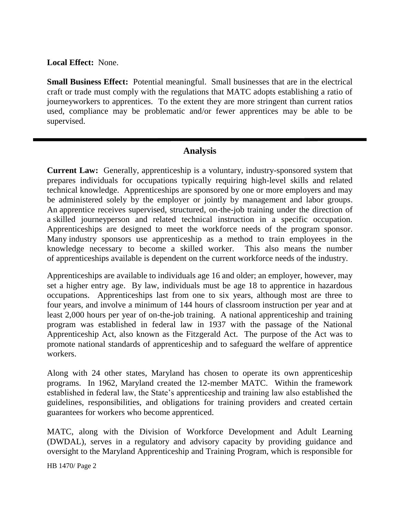**Local Effect:** None.

**Small Business Effect:** Potential meaningful. Small businesses that are in the electrical craft or trade must comply with the regulations that MATC adopts establishing a ratio of journeyworkers to apprentices. To the extent they are more stringent than current ratios used, compliance may be problematic and/or fewer apprentices may be able to be supervised.

#### **Analysis**

**Current Law:** Generally, apprenticeship is a voluntary, industry-sponsored system that prepares individuals for occupations typically requiring high-level skills and related technical knowledge. Apprenticeships are sponsored by one or more employers and may be administered solely by the employer or jointly by management and labor groups. An apprentice receives supervised, structured, on-the-job training under the direction of a skilled journeyperson and related technical instruction in a specific occupation. Apprenticeships are designed to meet the workforce needs of the program sponsor. Many industry sponsors use apprenticeship as a method to train employees in the knowledge necessary to become a skilled worker. This also means the number of apprenticeships available is dependent on the current workforce needs of the industry.

Apprenticeships are available to individuals age 16 and older; an employer, however, may set a higher entry age. By law, individuals must be age 18 to apprentice in hazardous occupations. Apprenticeships last from one to six years, although most are three to four years, and involve a minimum of 144 hours of classroom instruction per year and at least 2,000 hours per year of on-the-job training. A national apprenticeship and training program was established in federal law in 1937 with the passage of the National Apprenticeship Act, also known as the Fitzgerald Act. The purpose of the Act was to promote national standards of apprenticeship and to safeguard the welfare of apprentice workers.

Along with 24 other states, Maryland has chosen to operate its own apprenticeship programs. In 1962, Maryland created the 12-member MATC. Within the framework established in federal law, the State's apprenticeship and training law also established the guidelines, responsibilities, and obligations for training providers and created certain guarantees for workers who become apprenticed.

MATC, along with the Division of Workforce Development and Adult Learning (DWDAL), serves in a regulatory and advisory capacity by providing guidance and oversight to the Maryland Apprenticeship and Training Program, which is responsible for

HB 1470/ Page 2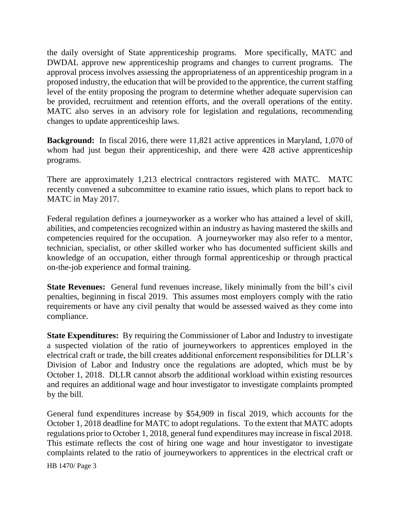the daily oversight of State apprenticeship programs. More specifically, MATC and DWDAL approve new apprenticeship programs and changes to current programs. The approval process involves assessing the appropriateness of an apprenticeship program in a proposed industry, the education that will be provided to the apprentice, the current staffing level of the entity proposing the program to determine whether adequate supervision can be provided, recruitment and retention efforts, and the overall operations of the entity. MATC also serves in an advisory role for legislation and regulations, recommending changes to update apprenticeship laws.

**Background:** In fiscal 2016, there were 11,821 active apprentices in Maryland, 1,070 of whom had just begun their apprenticeship, and there were 428 active apprenticeship programs.

There are approximately 1,213 electrical contractors registered with MATC. MATC recently convened a subcommittee to examine ratio issues, which plans to report back to MATC in May 2017.

Federal regulation defines a journeyworker as a worker who has attained a level of skill, abilities, and competencies recognized within an industry as having mastered the skills and competencies required for the occupation. A journeyworker may also refer to a mentor, technician, specialist, or other skilled worker who has documented sufficient skills and knowledge of an occupation, either through formal apprenticeship or through practical on-the-job experience and formal training.

**State Revenues:** General fund revenues increase, likely minimally from the bill's civil penalties, beginning in fiscal 2019. This assumes most employers comply with the ratio requirements or have any civil penalty that would be assessed waived as they come into compliance.

**State Expenditures:** By requiring the Commissioner of Labor and Industry to investigate a suspected violation of the ratio of journeyworkers to apprentices employed in the electrical craft or trade, the bill creates additional enforcement responsibilities for DLLR's Division of Labor and Industry once the regulations are adopted, which must be by October 1, 2018. DLLR cannot absorb the additional workload within existing resources and requires an additional wage and hour investigator to investigate complaints prompted by the bill.

General fund expenditures increase by \$54,909 in fiscal 2019, which accounts for the October 1, 2018 deadline for MATC to adopt regulations. To the extent that MATC adopts regulations prior to October 1, 2018, general fund expenditures may increase in fiscal 2018. This estimate reflects the cost of hiring one wage and hour investigator to investigate complaints related to the ratio of journeyworkers to apprentices in the electrical craft or

HB 1470/ Page 3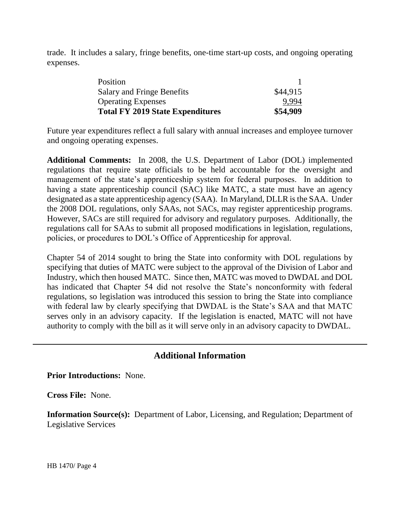trade. It includes a salary, fringe benefits, one-time start-up costs, and ongoing operating expenses.

| Position                                |          |
|-----------------------------------------|----------|
| Salary and Fringe Benefits              | \$44,915 |
| <b>Operating Expenses</b>               | 9,994    |
| <b>Total FY 2019 State Expenditures</b> | \$54,909 |

Future year expenditures reflect a full salary with annual increases and employee turnover and ongoing operating expenses.

**Additional Comments:** In 2008, the U.S. Department of Labor (DOL) implemented regulations that require state officials to be held accountable for the oversight and management of the state's apprenticeship system for federal purposes. In addition to having a state apprenticeship council (SAC) like MATC, a state must have an agency designated as a state apprenticeship agency (SAA). In Maryland, DLLR is the SAA. Under the 2008 DOL regulations, only SAAs, not SACs, may register apprenticeship programs. However, SACs are still required for advisory and regulatory purposes. Additionally, the regulations call for SAAs to submit all proposed modifications in legislation, regulations, policies, or procedures to DOL's Office of Apprenticeship for approval.

Chapter 54 of 2014 sought to bring the State into conformity with DOL regulations by specifying that duties of MATC were subject to the approval of the Division of Labor and Industry, which then housed MATC. Since then, MATC was moved to DWDAL and DOL has indicated that Chapter 54 did not resolve the State's nonconformity with federal regulations, so legislation was introduced this session to bring the State into compliance with federal law by clearly specifying that DWDAL is the State's SAA and that MATC serves only in an advisory capacity. If the legislation is enacted, MATC will not have authority to comply with the bill as it will serve only in an advisory capacity to DWDAL.

#### **Additional Information**

**Prior Introductions:** None.

**Cross File:** None.

**Information Source(s):** Department of Labor, Licensing, and Regulation; Department of Legislative Services